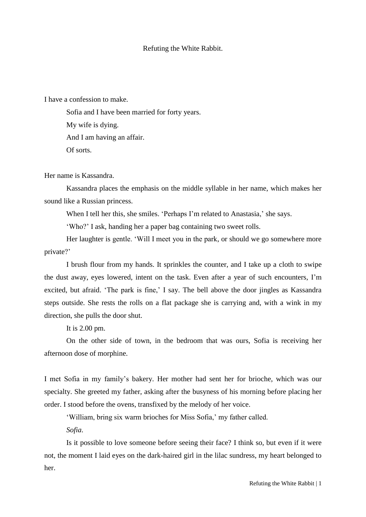## Refuting the White Rabbit.

I have a confession to make.

Sofia and I have been married for forty years. My wife is dying. And I am having an affair. Of sorts.

Her name is Kassandra.

Kassandra places the emphasis on the middle syllable in her name, which makes her sound like a Russian princess.

When I tell her this, she smiles. 'Perhaps I'm related to Anastasia,' she says.

'Who?' I ask, handing her a paper bag containing two sweet rolls.

Her laughter is gentle. 'Will I meet you in the park, or should we go somewhere more private?'

I brush flour from my hands. It sprinkles the counter, and I take up a cloth to swipe the dust away, eyes lowered, intent on the task. Even after a year of such encounters, I'm excited, but afraid. 'The park is fine,' I say. The bell above the door jingles as Kassandra steps outside. She rests the rolls on a flat package she is carrying and, with a wink in my direction, she pulls the door shut.

It is 2.00 pm.

On the other side of town, in the bedroom that was ours, Sofia is receiving her afternoon dose of morphine.

I met Sofia in my family's bakery. Her mother had sent her for brioche, which was our specialty. She greeted my father, asking after the busyness of his morning before placing her order. I stood before the ovens, transfixed by the melody of her voice.

'William, bring six warm brioches for Miss Sofia,' my father called.

*Sofia*.

Is it possible to love someone before seeing their face? I think so, but even if it were not, the moment I laid eyes on the dark-haired girl in the lilac sundress, my heart belonged to her.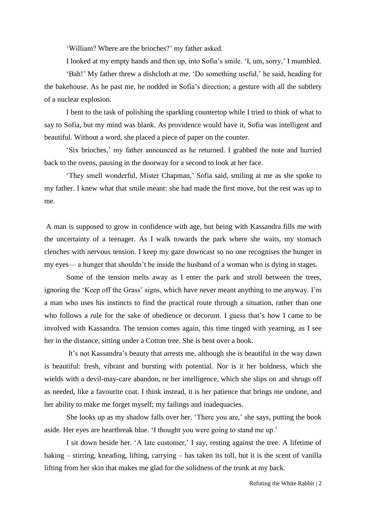'William? Where are the brioches?' my father asked.

I looked at my empty hands and then up, into Sofia's smile. 'I, um, sorry,' I mumbled.

'Bah!' My father threw a dishcloth at me. 'Do something useful,' he said, heading for the bakehouse. As he past me, he nodded in Sofia's direction; a gesture with all the subtlety of a nuclear explosion.

I bent to the task of polishing the sparkling countertop while I tried to think of what to say to Sofia, but my mind was blank. As providence would have it, Sofia was intelligent and beautiful. Without a word, she placed a piece of paper on the counter.

'Six brioches,' my father announced as he returned. I grabbed the note and hurried back to the ovens, pausing in the doorway for a second to look at her face.

'They smell wonderful, Mister Chapman,' Sofia said, smiling at me as she spoke to my father. I knew what that smile meant: she had made the first move, but the rest was up to me.

A man is supposed to grow in confidence with age, but being with Kassandra fills me with the uncertainty of a teenager. As I walk towards the park where she waits, my stomach clenches with nervous tension. I keep my gaze downcast so no one recognises the hunger in my eyes— a hunger that shouldn't be inside the husband of a woman who is dying in stages.

Some of the tension melts away as I enter the park and stroll between the trees, ignoring the 'Keep off the Grass' signs, which have never meant anything to me anyway. I'm a man who uses his instincts to find the practical route through a situation, rather than one who follows a rule for the sake of obedience or decorum. I guess that's how I came to be involved with Kassandra. The tension comes again, this time tinged with yearning, as I see her in the distance, sitting under a Cotton tree. She is bent over a book.

It's not Kassandra's beauty that arrests me, although she is beautiful in the way dawn is beautiful: fresh, vibrant and bursting with potential. Nor is it her boldness, which she wields with a devil-may-care abandon, or her intelligence, which she slips on and shrugs off as needed, like a favourite coat. I think instead, it is her patience that brings me undone, and her ability to make me forget myself; my failings and inadequacies.

She looks up as my shadow falls over her. 'There you are,' she says, putting the book aside. Her eyes are heartbreak blue. 'I thought you were going to stand me up.'

I sit down beside her. 'A late customer,' I say, resting against the tree. A lifetime of baking – stirring, kneading, lifting, carrying – has taken its toll, but it is the scent of vanilla lifting from her skin that makes me glad for the solidness of the trunk at my back.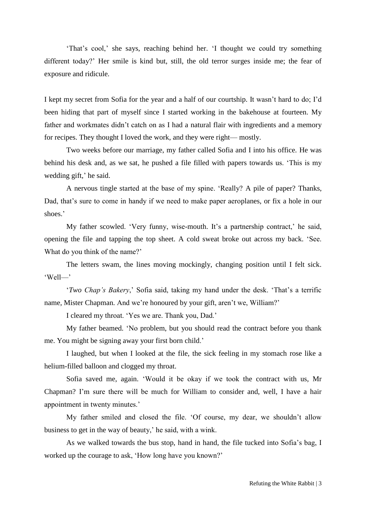'That's cool,' she says, reaching behind her. 'I thought we could try something different today?' Her smile is kind but, still, the old terror surges inside me; the fear of exposure and ridicule.

I kept my secret from Sofia for the year and a half of our courtship. It wasn't hard to do; I'd been hiding that part of myself since I started working in the bakehouse at fourteen. My father and workmates didn't catch on as I had a natural flair with ingredients and a memory for recipes. They thought I loved the work, and they were right— mostly.

Two weeks before our marriage, my father called Sofia and I into his office. He was behind his desk and, as we sat, he pushed a file filled with papers towards us. 'This is my wedding gift,' he said.

A nervous tingle started at the base of my spine. 'Really? A pile of paper? Thanks, Dad, that's sure to come in handy if we need to make paper aeroplanes, or fix a hole in our shoes.'

My father scowled. 'Very funny, wise-mouth. It's a partnership contract,' he said, opening the file and tapping the top sheet. A cold sweat broke out across my back. 'See. What do you think of the name?'

The letters swam, the lines moving mockingly, changing position until I felt sick. 'Well—'

'*Two Chap's Bakery*,' Sofia said, taking my hand under the desk. 'That's a terrific name, Mister Chapman. And we're honoured by your gift, aren't we, William?'

I cleared my throat. 'Yes we are. Thank you, Dad.'

My father beamed. 'No problem, but you should read the contract before you thank me. You might be signing away your first born child.'

I laughed, but when I looked at the file, the sick feeling in my stomach rose like a helium-filled balloon and clogged my throat.

Sofia saved me, again. 'Would it be okay if we took the contract with us, Mr Chapman? I'm sure there will be much for William to consider and, well, I have a hair appointment in twenty minutes.'

My father smiled and closed the file. 'Of course, my dear, we shouldn't allow business to get in the way of beauty,' he said, with a wink.

As we walked towards the bus stop, hand in hand, the file tucked into Sofia's bag, I worked up the courage to ask, 'How long have you known?'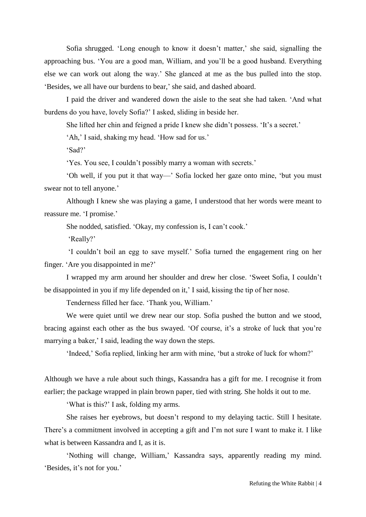Sofia shrugged. 'Long enough to know it doesn't matter,' she said, signalling the approaching bus. 'You are a good man, William, and you'll be a good husband. Everything else we can work out along the way.' She glanced at me as the bus pulled into the stop. 'Besides, we all have our burdens to bear,' she said, and dashed aboard.

I paid the driver and wandered down the aisle to the seat she had taken. 'And what burdens do you have, lovely Sofia?' I asked, sliding in beside her.

She lifted her chin and feigned a pride I knew she didn't possess. 'It's a secret.'

'Ah,' I said, shaking my head. 'How sad for us.'

'Sad?'

'Yes. You see, I couldn't possibly marry a woman with secrets.'

'Oh well, if you put it that way—' Sofia locked her gaze onto mine, 'but you must swear not to tell anyone.'

Although I knew she was playing a game, I understood that her words were meant to reassure me. 'I promise.'

She nodded, satisfied. 'Okay, my confession is, I can't cook.'

'Really?'

'I couldn't boil an egg to save myself.' Sofia turned the engagement ring on her finger. 'Are you disappointed in me?'

I wrapped my arm around her shoulder and drew her close. 'Sweet Sofia, I couldn't be disappointed in you if my life depended on it,' I said, kissing the tip of her nose.

Tenderness filled her face. 'Thank you, William.'

We were quiet until we drew near our stop. Sofia pushed the button and we stood, bracing against each other as the bus swayed. 'Of course, it's a stroke of luck that you're marrying a baker,' I said, leading the way down the steps.

'Indeed,' Sofia replied, linking her arm with mine, 'but a stroke of luck for whom?'

Although we have a rule about such things, Kassandra has a gift for me. I recognise it from earlier; the package wrapped in plain brown paper, tied with string. She holds it out to me.

'What is this?' I ask, folding my arms.

She raises her eyebrows, but doesn't respond to my delaying tactic. Still I hesitate. There's a commitment involved in accepting a gift and I'm not sure I want to make it. I like what is between Kassandra and I, as it is.

'Nothing will change, William,' Kassandra says, apparently reading my mind. 'Besides, it's not for you.'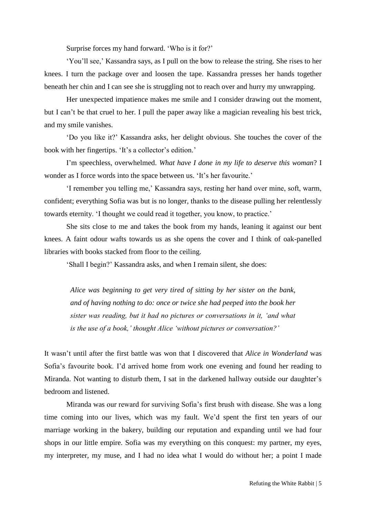Surprise forces my hand forward. 'Who is it for?'

'You'll see,' Kassandra says, as I pull on the bow to release the string. She rises to her knees. I turn the package over and loosen the tape. Kassandra presses her hands together beneath her chin and I can see she is struggling not to reach over and hurry my unwrapping.

Her unexpected impatience makes me smile and I consider drawing out the moment, but I can't be that cruel to her. I pull the paper away like a magician revealing his best trick, and my smile vanishes.

'Do you like it?' Kassandra asks, her delight obvious. She touches the cover of the book with her fingertips. 'It's a collector's edition.'

I'm speechless, overwhelmed. *What have I done in my life to deserve this woman*? I wonder as I force words into the space between us. 'It's her favourite.'

'I remember you telling me,' Kassandra says, resting her hand over mine, soft, warm, confident; everything Sofia was but is no longer, thanks to the disease pulling her relentlessly towards eternity. 'I thought we could read it together, you know, to practice.'

She sits close to me and takes the book from my hands, leaning it against our bent knees. A faint odour wafts towards us as she opens the cover and I think of oak-panelled libraries with books stacked from floor to the ceiling.

'Shall I begin?' Kassandra asks, and when I remain silent, she does:

*Alice was beginning to get very tired of sitting by her sister on the bank, and of having nothing to do: once or twice she had peeped into the book her sister was reading, but it had no pictures or conversations in it, 'and what is the use of a book,' thought Alice 'without pictures or conversation?'*

It wasn't until after the first battle was won that I discovered that *Alice in Wonderland* was Sofia's favourite book. I'd arrived home from work one evening and found her reading to Miranda. Not wanting to disturb them, I sat in the darkened hallway outside our daughter's bedroom and listened.

Miranda was our reward for surviving Sofia's first brush with disease. She was a long time coming into our lives, which was my fault. We'd spent the first ten years of our marriage working in the bakery, building our reputation and expanding until we had four shops in our little empire. Sofia was my everything on this conquest: my partner, my eyes, my interpreter, my muse, and I had no idea what I would do without her; a point I made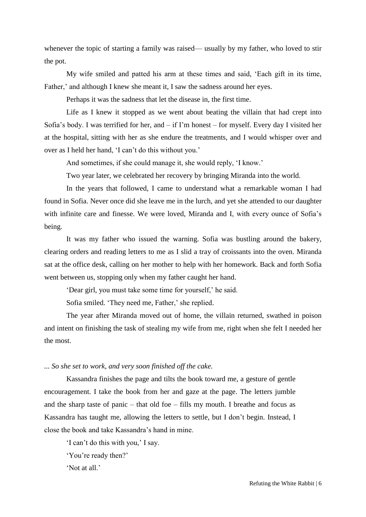whenever the topic of starting a family was raised— usually by my father, who loved to stir the pot.

My wife smiled and patted his arm at these times and said, 'Each gift in its time, Father,' and although I knew she meant it, I saw the sadness around her eyes.

Perhaps it was the sadness that let the disease in, the first time.

Life as I knew it stopped as we went about beating the villain that had crept into Sofia's body. I was terrified for her, and – if I'm honest – for myself. Every day I visited her at the hospital, sitting with her as she endure the treatments, and I would whisper over and over as I held her hand, 'I can't do this without you.'

And sometimes, if she could manage it, she would reply, 'I know.'

Two year later, we celebrated her recovery by bringing Miranda into the world.

In the years that followed, I came to understand what a remarkable woman I had found in Sofia. Never once did she leave me in the lurch, and yet she attended to our daughter with infinite care and finesse. We were loved, Miranda and I, with every ounce of Sofia's being.

It was my father who issued the warning. Sofia was bustling around the bakery, clearing orders and reading letters to me as I slid a tray of croissants into the oven. Miranda sat at the office desk, calling on her mother to help with her homework. Back and forth Sofia went between us, stopping only when my father caught her hand.

'Dear girl, you must take some time for yourself,' he said.

Sofia smiled. 'They need me, Father,' she replied.

The year after Miranda moved out of home, the villain returned, swathed in poison and intent on finishing the task of stealing my wife from me, right when she felt I needed her the most.

*... So she set to work, and very soon finished off the cake.*

Kassandra finishes the page and tilts the book toward me, a gesture of gentle encouragement. I take the book from her and gaze at the page. The letters jumble and the sharp taste of panic – that old foe – fills my mouth. I breathe and focus as Kassandra has taught me, allowing the letters to settle, but I don't begin. Instead, I close the book and take Kassandra's hand in mine.

'I can't do this with you,' I say.

'You're ready then?'

'Not at all.'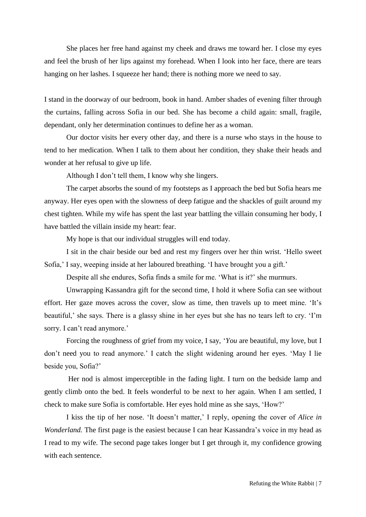She places her free hand against my cheek and draws me toward her. I close my eyes and feel the brush of her lips against my forehead. When I look into her face, there are tears hanging on her lashes. I squeeze her hand; there is nothing more we need to say.

I stand in the doorway of our bedroom, book in hand. Amber shades of evening filter through the curtains, falling across Sofia in our bed. She has become a child again: small, fragile, dependant, only her determination continues to define her as a woman.

Our doctor visits her every other day, and there is a nurse who stays in the house to tend to her medication. When I talk to them about her condition, they shake their heads and wonder at her refusal to give up life.

Although I don't tell them, I know why she lingers.

The carpet absorbs the sound of my footsteps as I approach the bed but Sofia hears me anyway. Her eyes open with the slowness of deep fatigue and the shackles of guilt around my chest tighten. While my wife has spent the last year battling the villain consuming her body, I have battled the villain inside my heart: fear.

My hope is that our individual struggles will end today.

I sit in the chair beside our bed and rest my fingers over her thin wrist. 'Hello sweet Sofia,' I say, weeping inside at her laboured breathing. 'I have brought you a gift.'

Despite all she endures, Sofia finds a smile for me. 'What is it?' she murmurs.

Unwrapping Kassandra gift for the second time, I hold it where Sofia can see without effort. Her gaze moves across the cover, slow as time, then travels up to meet mine. 'It's beautiful,' she says. There is a glassy shine in her eyes but she has no tears left to cry. 'I'm sorry. I can't read anymore.'

Forcing the roughness of grief from my voice, I say, '*You* are beautiful, my love, but I don't need you to read anymore.' I catch the slight widening around her eyes. 'May I lie beside you, Sofia?'

Her nod is almost imperceptible in the fading light. I turn on the bedside lamp and gently climb onto the bed. It feels wonderful to be next to her again. When I am settled, I check to make sure Sofia is comfortable. Her eyes hold mine as she says, 'How?'

I kiss the tip of her nose. 'It doesn't matter,' I reply, opening the cover of *Alice in Wonderland.* The first page is the easiest because I can hear Kassandra's voice in my head as I read to my wife. The second page takes longer but I get through it, my confidence growing with each sentence.